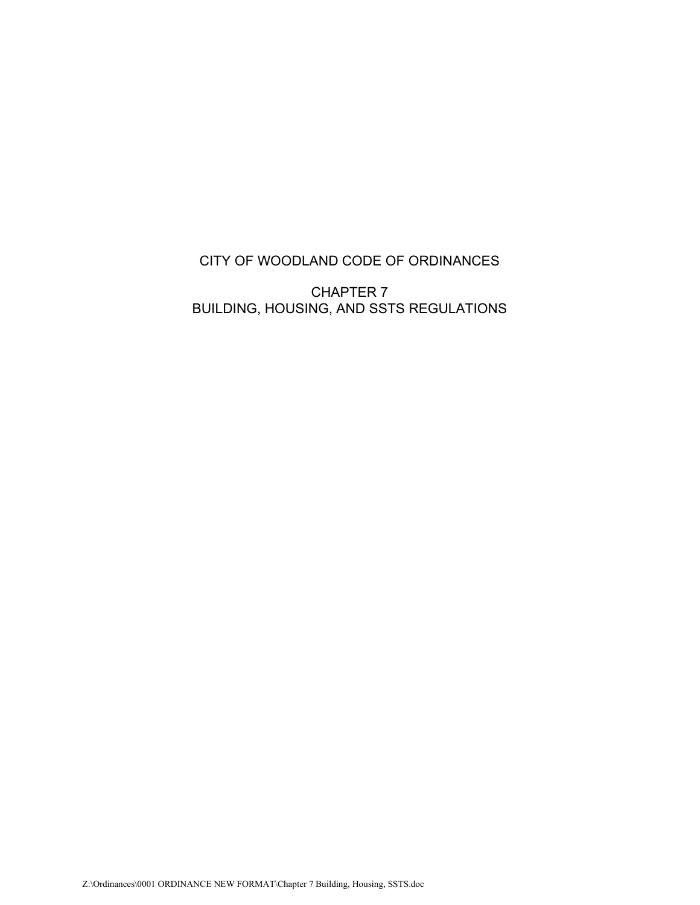# CITY OF WOODLAND CODE OF ORDINANCES

CHAPTER 7 BUILDING, HOUSING, AND SSTS REGULATIONS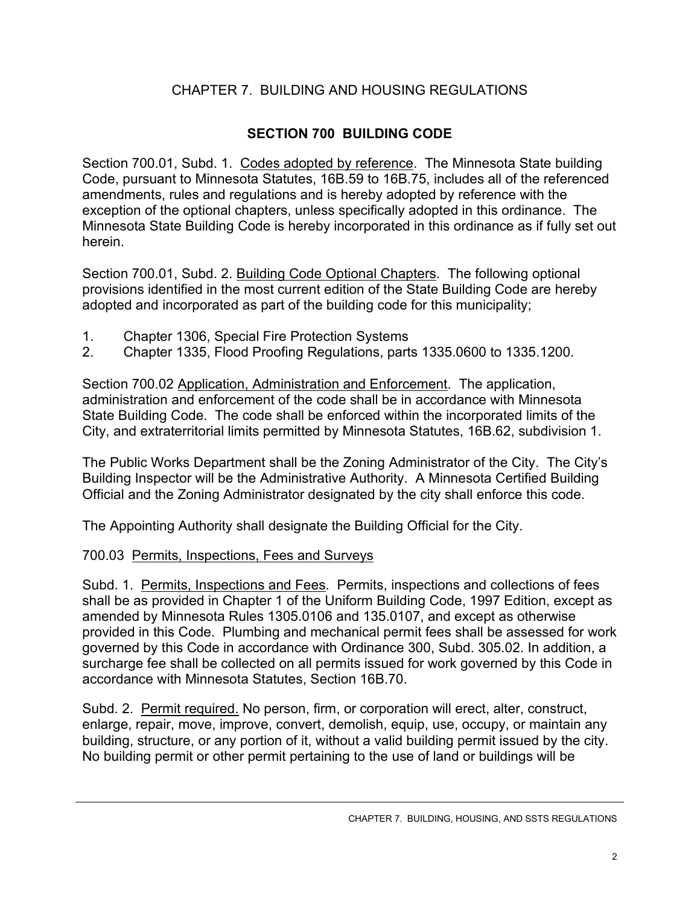# CHAPTER 7. BUILDING AND HOUSING REGULATIONS

## **SECTION 700 BUILDING CODE**

Section 700.01, Subd. 1. Codes adopted by reference. The Minnesota State building Code, pursuant to Minnesota Statutes, 16B.59 to 16B.75, includes all of the referenced amendments, rules and regulations and is hereby adopted by reference with the exception of the optional chapters, unless specifically adopted in this ordinance. The Minnesota State Building Code is hereby incorporated in this ordinance as if fully set out herein.

Section 700.01, Subd. 2. Building Code Optional Chapters. The following optional provisions identified in the most current edition of the State Building Code are hereby adopted and incorporated as part of the building code for this municipality;

- 1. Chapter 1306, Special Fire Protection Systems
- 2. Chapter 1335, Flood Proofing Regulations, parts 1335.0600 to 1335.1200.

Section 700.02 Application, Administration and Enforcement. The application, administration and enforcement of the code shall be in accordance with Minnesota State Building Code. The code shall be enforced within the incorporated limits of the City, and extraterritorial limits permitted by Minnesota Statutes, 16B.62, subdivision 1.

The Public Works Department shall be the Zoning Administrator of the City. The City's Building Inspector will be the Administrative Authority. A Minnesota Certified Building Official and the Zoning Administrator designated by the city shall enforce this code.

The Appointing Authority shall designate the Building Official for the City.

## 700.03 Permits, Inspections, Fees and Surveys

Subd. 1. Permits, Inspections and Fees. Permits, inspections and collections of fees shall be as provided in Chapter 1 of the Uniform Building Code, 1997 Edition, except as amended by Minnesota Rules 1305.0106 and 135.0107, and except as otherwise provided in this Code. Plumbing and mechanical permit fees shall be assessed for work governed by this Code in accordance with Ordinance 300, Subd. 305.02. In addition, a surcharge fee shall be collected on all permits issued for work governed by this Code in accordance with Minnesota Statutes, Section 16B.70.

Subd. 2. Permit required. No person, firm, or corporation will erect, alter, construct, enlarge, repair, move, improve, convert, demolish, equip, use, occupy, or maintain any building, structure, or any portion of it, without a valid building permit issued by the city. No building permit or other permit pertaining to the use of land or buildings will be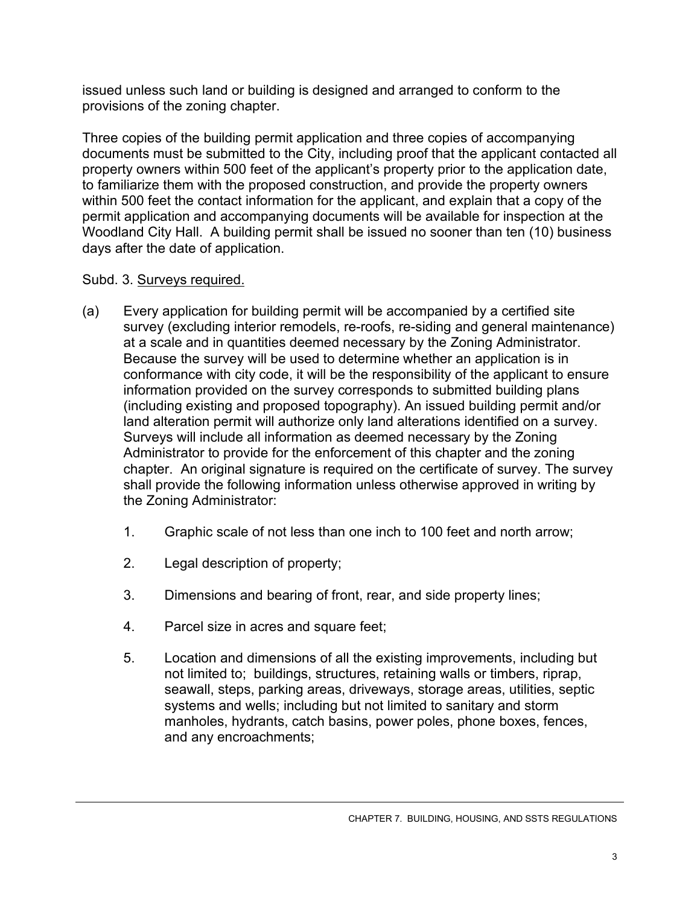issued unless such land or building is designed and arranged to conform to the provisions of the zoning chapter.

Three copies of the building permit application and three copies of accompanying documents must be submitted to the City, including proof that the applicant contacted all property owners within 500 feet of the applicant's property prior to the application date, to familiarize them with the proposed construction, and provide the property owners within 500 feet the contact information for the applicant, and explain that a copy of the permit application and accompanying documents will be available for inspection at the Woodland City Hall. A building permit shall be issued no sooner than ten (10) business days after the date of application.

## Subd. 3. Surveys required.

- (a) Every application for building permit will be accompanied by a certified site survey (excluding interior remodels, re-roofs, re-siding and general maintenance) at a scale and in quantities deemed necessary by the Zoning Administrator. Because the survey will be used to determine whether an application is in conformance with city code, it will be the responsibility of the applicant to ensure information provided on the survey corresponds to submitted building plans (including existing and proposed topography). An issued building permit and/or land alteration permit will authorize only land alterations identified on a survey. Surveys will include all information as deemed necessary by the Zoning Administrator to provide for the enforcement of this chapter and the zoning chapter. An original signature is required on the certificate of survey. The survey shall provide the following information unless otherwise approved in writing by the Zoning Administrator:
	- 1. Graphic scale of not less than one inch to 100 feet and north arrow;
	- 2. Legal description of property;
	- 3. Dimensions and bearing of front, rear, and side property lines;
	- 4. Parcel size in acres and square feet;
	- 5. Location and dimensions of all the existing improvements, including but not limited to; buildings, structures, retaining walls or timbers, riprap, seawall, steps, parking areas, driveways, storage areas, utilities, septic systems and wells; including but not limited to sanitary and storm manholes, hydrants, catch basins, power poles, phone boxes, fences, and any encroachments;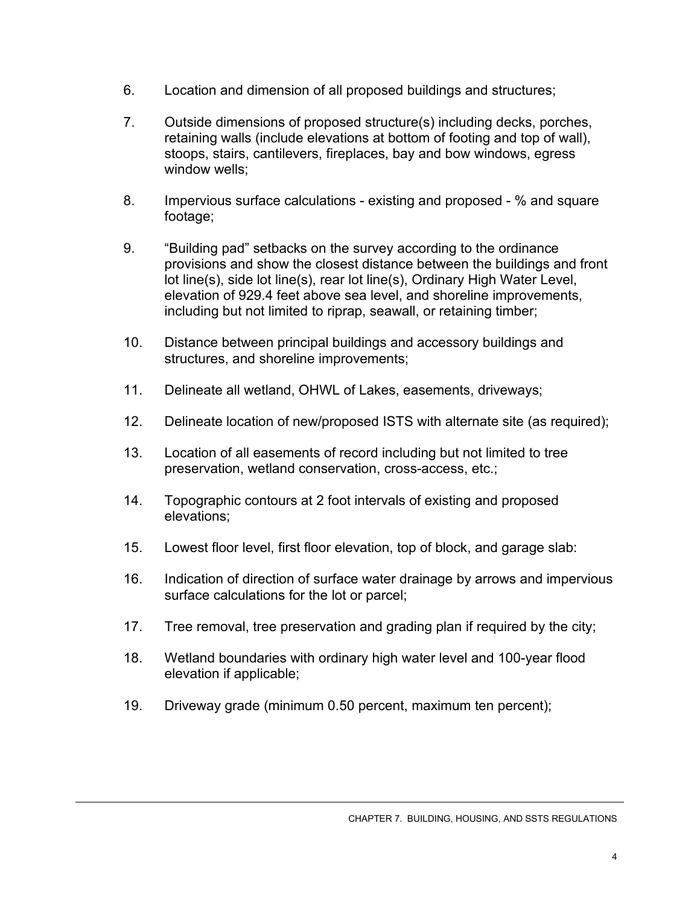- 6. Location and dimension of all proposed buildings and structures;
- 7. Outside dimensions of proposed structure(s) including decks, porches, retaining walls (include elevations at bottom of footing and top of wall), stoops, stairs, cantilevers, fireplaces, bay and bow windows, egress window wells;
- 8. Impervious surface calculations existing and proposed % and square footage;
- 9. "Building pad" setbacks on the survey according to the ordinance provisions and show the closest distance between the buildings and front lot line(s), side lot line(s), rear lot line(s), Ordinary High Water Level, elevation of 929.4 feet above sea level, and shoreline improvements, including but not limited to riprap, seawall, or retaining timber;
- 10. Distance between principal buildings and accessory buildings and structures, and shoreline improvements;
- 11. Delineate all wetland, OHWL of Lakes, easements, driveways;
- 12. Delineate location of new/proposed ISTS with alternate site (as required);
- 13. Location of all easements of record including but not limited to tree preservation, wetland conservation, cross-access, etc.;
- 14. Topographic contours at 2 foot intervals of existing and proposed elevations;
- 15. Lowest floor level, first floor elevation, top of block, and garage slab:
- 16. Indication of direction of surface water drainage by arrows and impervious surface calculations for the lot or parcel;
- 17. Tree removal, tree preservation and grading plan if required by the city;
- 18. Wetland boundaries with ordinary high water level and 100-year flood elevation if applicable;
- 19. Driveway grade (minimum 0.50 percent, maximum ten percent);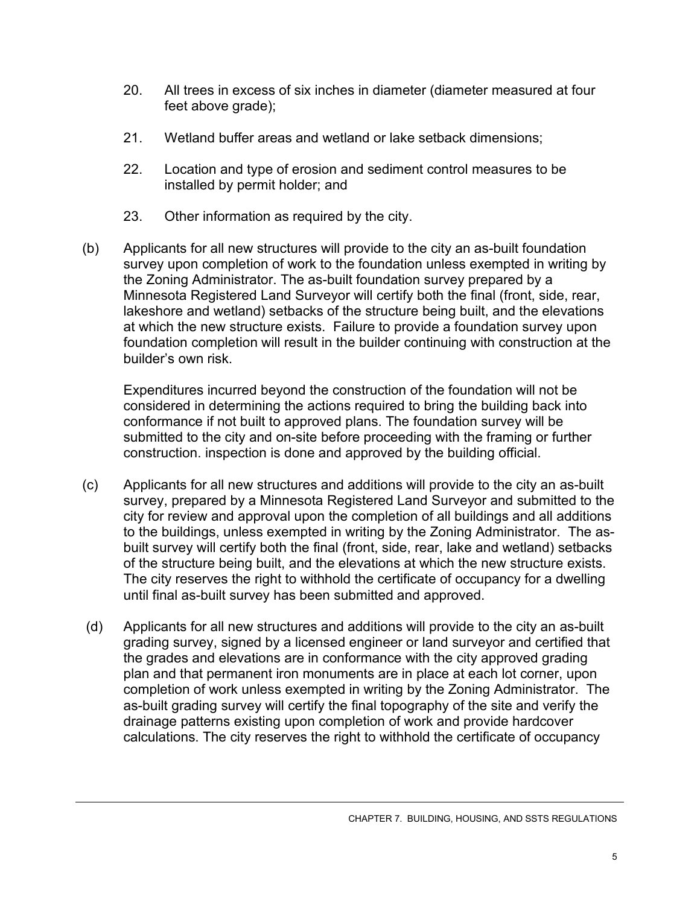- 20. All trees in excess of six inches in diameter (diameter measured at four feet above grade);
- 21. Wetland buffer areas and wetland or lake setback dimensions;
- 22. Location and type of erosion and sediment control measures to be installed by permit holder; and
- 23. Other information as required by the city.
- (b) Applicants for all new structures will provide to the city an as-built foundation survey upon completion of work to the foundation unless exempted in writing by the Zoning Administrator. The as-built foundation survey prepared by a Minnesota Registered Land Surveyor will certify both the final (front, side, rear, lakeshore and wetland) setbacks of the structure being built, and the elevations at which the new structure exists. Failure to provide a foundation survey upon foundation completion will result in the builder continuing with construction at the builder's own risk.

Expenditures incurred beyond the construction of the foundation will not be considered in determining the actions required to bring the building back into conformance if not built to approved plans. The foundation survey will be submitted to the city and on-site before proceeding with the framing or further construction. inspection is done and approved by the building official.

- (c) Applicants for all new structures and additions will provide to the city an as-built survey, prepared by a Minnesota Registered Land Surveyor and submitted to the city for review and approval upon the completion of all buildings and all additions to the buildings, unless exempted in writing by the Zoning Administrator. The asbuilt survey will certify both the final (front, side, rear, lake and wetland) setbacks of the structure being built, and the elevations at which the new structure exists. The city reserves the right to withhold the certificate of occupancy for a dwelling until final as-built survey has been submitted and approved.
- (d) Applicants for all new structures and additions will provide to the city an as-built grading survey, signed by a licensed engineer or land surveyor and certified that the grades and elevations are in conformance with the city approved grading plan and that permanent iron monuments are in place at each lot corner, upon completion of work unless exempted in writing by the Zoning Administrator. The as-built grading survey will certify the final topography of the site and verify the drainage patterns existing upon completion of work and provide hardcover calculations. The city reserves the right to withhold the certificate of occupancy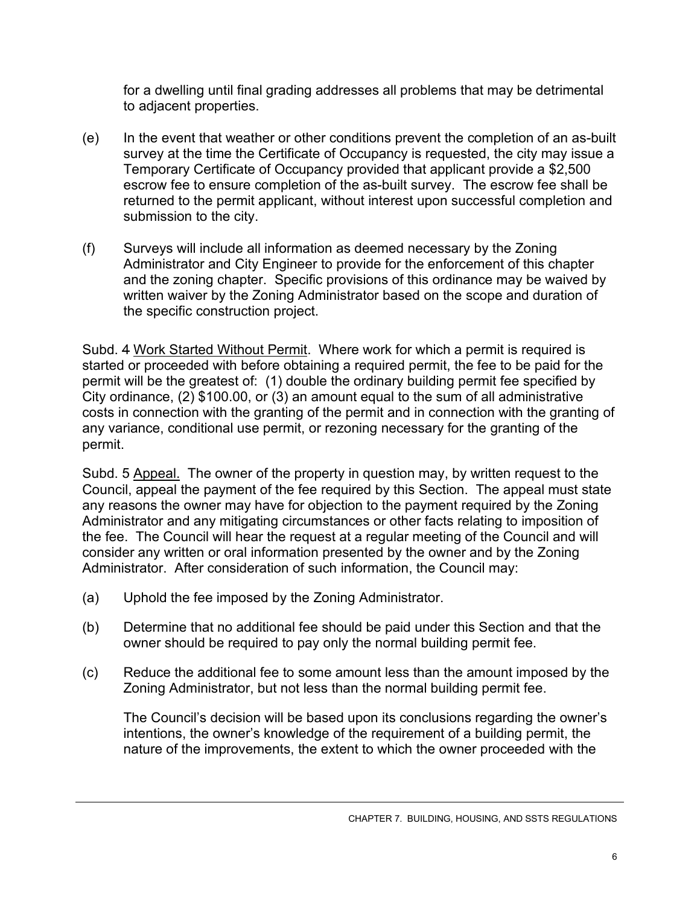for a dwelling until final grading addresses all problems that may be detrimental to adjacent properties.

- (e) In the event that weather or other conditions prevent the completion of an as-built survey at the time the Certificate of Occupancy is requested, the city may issue a Temporary Certificate of Occupancy provided that applicant provide a \$2,500 escrow fee to ensure completion of the as-built survey. The escrow fee shall be returned to the permit applicant, without interest upon successful completion and submission to the city.
- (f) Surveys will include all information as deemed necessary by the Zoning Administrator and City Engineer to provide for the enforcement of this chapter and the zoning chapter. Specific provisions of this ordinance may be waived by written waiver by the Zoning Administrator based on the scope and duration of the specific construction project.

Subd. 4 Work Started Without Permit. Where work for which a permit is required is started or proceeded with before obtaining a required permit, the fee to be paid for the permit will be the greatest of: (1) double the ordinary building permit fee specified by City ordinance, (2) \$100.00, or (3) an amount equal to the sum of all administrative costs in connection with the granting of the permit and in connection with the granting of any variance, conditional use permit, or rezoning necessary for the granting of the permit.

Subd. 5 Appeal. The owner of the property in question may, by written request to the Council, appeal the payment of the fee required by this Section. The appeal must state any reasons the owner may have for objection to the payment required by the Zoning Administrator and any mitigating circumstances or other facts relating to imposition of the fee. The Council will hear the request at a regular meeting of the Council and will consider any written or oral information presented by the owner and by the Zoning Administrator. After consideration of such information, the Council may:

- (a) Uphold the fee imposed by the Zoning Administrator.
- (b) Determine that no additional fee should be paid under this Section and that the owner should be required to pay only the normal building permit fee.
- (c) Reduce the additional fee to some amount less than the amount imposed by the Zoning Administrator, but not less than the normal building permit fee.

The Council's decision will be based upon its conclusions regarding the owner's intentions, the owner's knowledge of the requirement of a building permit, the nature of the improvements, the extent to which the owner proceeded with the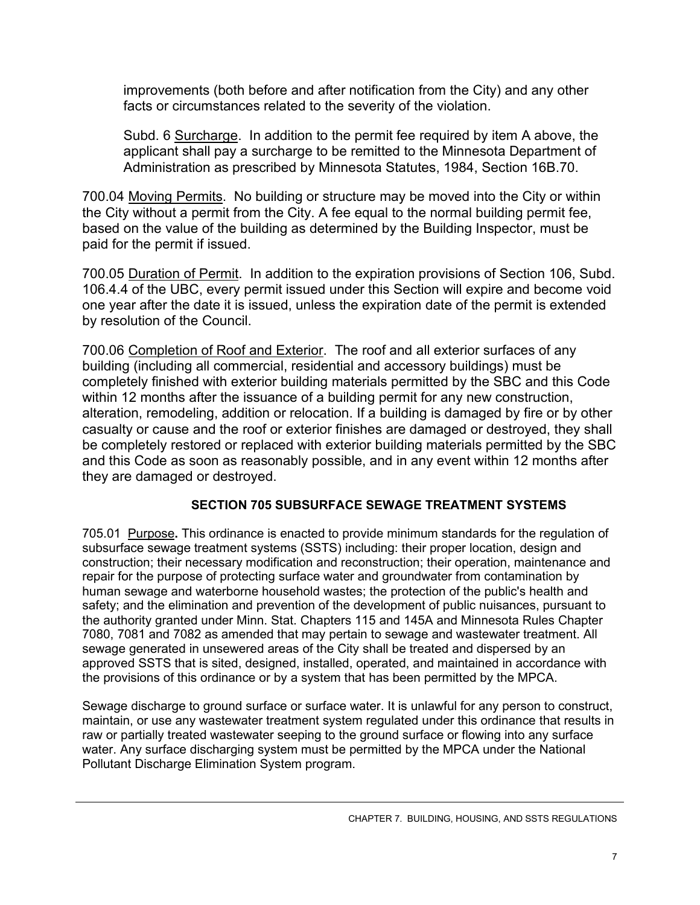improvements (both before and after notification from the City) and any other facts or circumstances related to the severity of the violation.

Subd. 6 Surcharge. In addition to the permit fee required by item A above, the applicant shall pay a surcharge to be remitted to the Minnesota Department of Administration as prescribed by Minnesota Statutes, 1984, Section 16B.70.

700.04 Moving Permits. No building or structure may be moved into the City or within the City without a permit from the City. A fee equal to the normal building permit fee, based on the value of the building as determined by the Building Inspector, must be paid for the permit if issued.

700.05 Duration of Permit. In addition to the expiration provisions of Section 106, Subd. 106.4.4 of the UBC, every permit issued under this Section will expire and become void one year after the date it is issued, unless the expiration date of the permit is extended by resolution of the Council.

700.06 Completion of Roof and Exterior. The roof and all exterior surfaces of any building (including all commercial, residential and accessory buildings) must be completely finished with exterior building materials permitted by the SBC and this Code within 12 months after the issuance of a building permit for any new construction, alteration, remodeling, addition or relocation. If a building is damaged by fire or by other casualty or cause and the roof or exterior finishes are damaged or destroyed, they shall be completely restored or replaced with exterior building materials permitted by the SBC and this Code as soon as reasonably possible, and in any event within 12 months after they are damaged or destroyed.

## **SECTION 705 SUBSURFACE SEWAGE TREATMENT SYSTEMS**

705.01Purpose**.** This ordinance is enacted to provide minimum standards for the regulation of subsurface sewage treatment systems (SSTS) including: their proper location, design and construction; their necessary modification and reconstruction; their operation, maintenance and repair for the purpose of protecting surface water and groundwater from contamination by human sewage and waterborne household wastes; the protection of the public's health and safety; and the elimination and prevention of the development of public nuisances, pursuant to the authority granted under Minn. Stat. Chapters 115 and 145A and Minnesota Rules Chapter 7080, 7081 and 7082 as amended that may pertain to sewage and wastewater treatment. All sewage generated in unsewered areas of the City shall be treated and dispersed by an approved SSTS that is sited, designed, installed, operated, and maintained in accordance with the provisions of this ordinance or by a system that has been permitted by the MPCA.

Sewage discharge to ground surface or surface water. It is unlawful for any person to construct, maintain, or use any wastewater treatment system regulated under this ordinance that results in raw or partially treated wastewater seeping to the ground surface or flowing into any surface water. Any surface discharging system must be permitted by the MPCA under the National Pollutant Discharge Elimination System program.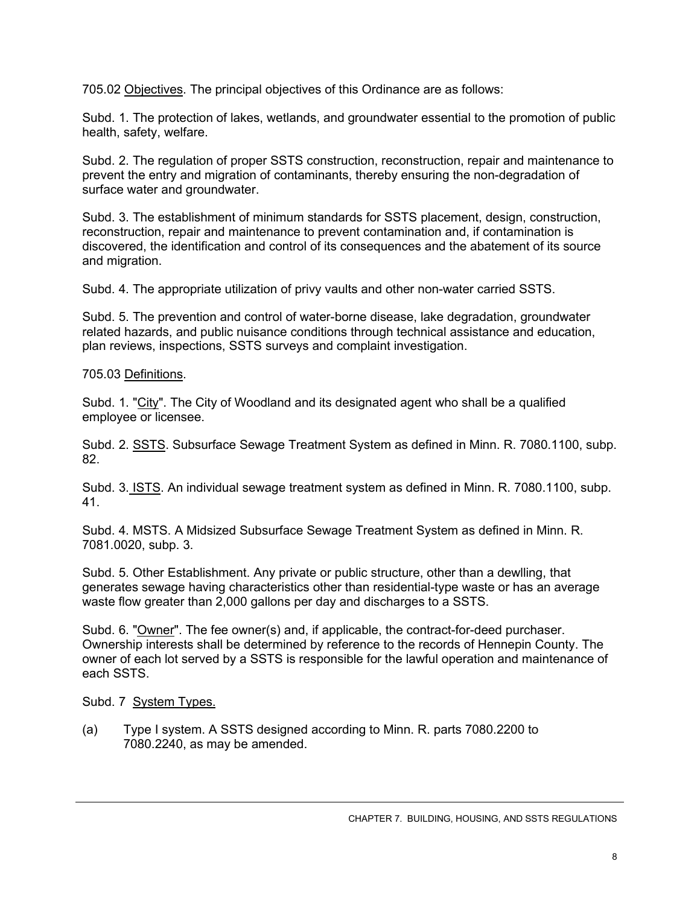705.02 Objectives. The principal objectives of this Ordinance are as follows:

Subd. 1. The protection of lakes, wetlands, and groundwater essential to the promotion of public health, safety, welfare.

Subd. 2. The regulation of proper SSTS construction, reconstruction, repair and maintenance to prevent the entry and migration of contaminants, thereby ensuring the non-degradation of surface water and groundwater.

Subd. 3. The establishment of minimum standards for SSTS placement, design, construction, reconstruction, repair and maintenance to prevent contamination and, if contamination is discovered, the identification and control of its consequences and the abatement of its source and migration.

Subd. 4. The appropriate utilization of privy vaults and other non-water carried SSTS.

Subd. 5. The prevention and control of water-borne disease, lake degradation, groundwater related hazards, and public nuisance conditions through technical assistance and education, plan reviews, inspections, SSTS surveys and complaint investigation.

#### 705.03 Definitions.

Subd. 1. "City". The City of Woodland and its designated agent who shall be a qualified employee or licensee.

Subd. 2. SSTS. Subsurface Sewage Treatment System as defined in Minn. R. 7080.1100, subp. 82.

Subd. 3. ISTS. An individual sewage treatment system as defined in Minn. R. 7080.1100, subp. 41.

Subd. 4. MSTS. A Midsized Subsurface Sewage Treatment System as defined in Minn. R. 7081.0020, subp. 3.

Subd. 5. Other Establishment. Any private or public structure, other than a dewlling, that generates sewage having characteristics other than residential-type waste or has an average waste flow greater than 2,000 gallons per day and discharges to a SSTS.

Subd. 6. "Owner". The fee owner(s) and, if applicable, the contract-for-deed purchaser. Ownership interests shall be determined by reference to the records of Hennepin County. The owner of each lot served by a SSTS is responsible for the lawful operation and maintenance of each SSTS.

Subd. 7 System Types.

(a) Type I system. A SSTS designed according to Minn. R. parts 7080.2200 to 7080.2240, as may be amended.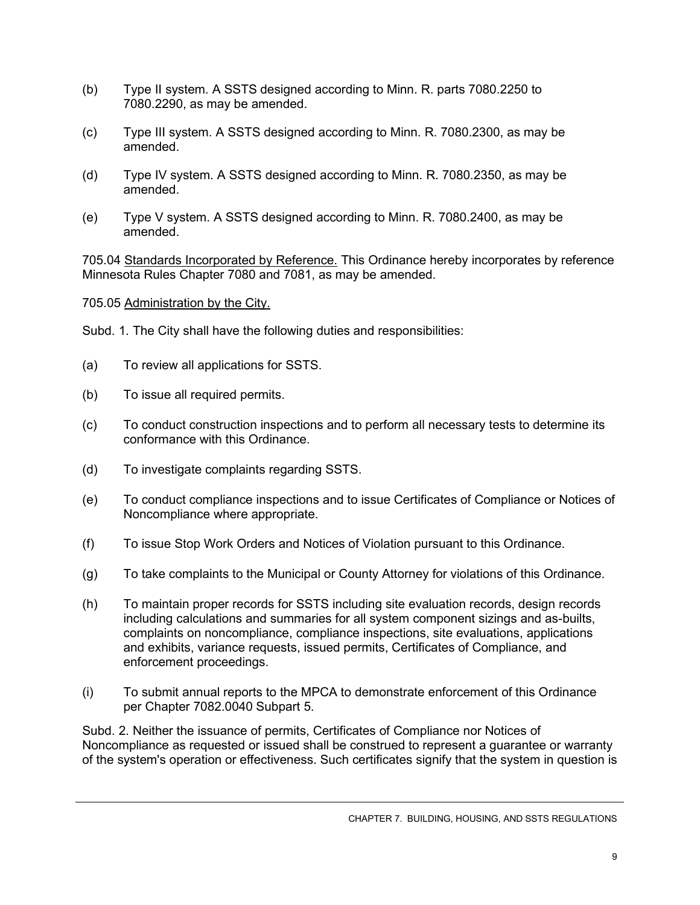- (b) Type II system. A SSTS designed according to Minn. R. parts 7080.2250 to 7080.2290, as may be amended.
- (c)Type III system. A SSTS designed according to Minn. R. 7080.2300, as may be amended.
- (d) Type IV system. A SSTS designed according to Minn. R. 7080.2350, as may be amended.
- (e) Type V system. A SSTS designed according to Minn. R. 7080.2400, as may be amended.

705.04 Standards Incorporated by Reference. This Ordinance hereby incorporates by reference Minnesota Rules Chapter 7080 and 7081, as may be amended.

705.05 Administration by the City.

Subd. 1. The City shall have the following duties and responsibilities:

- (a) To review all applications for SSTS.
- (b) To issue all required permits.
- (c) To conduct construction inspections and to perform all necessary tests to determine its conformance with this Ordinance.
- (d) To investigate complaints regarding SSTS.
- (e) To conduct compliance inspections and to issue Certificates of Compliance or Notices of Noncompliance where appropriate.
- (f) To issue Stop Work Orders and Notices of Violation pursuant to this Ordinance.
- (g) To take complaints to the Municipal or County Attorney for violations of this Ordinance.
- (h) To maintain proper records for SSTS including site evaluation records, design records including calculations and summaries for all system component sizings and as-builts, complaints on noncompliance, compliance inspections, site evaluations, applications and exhibits, variance requests, issued permits, Certificates of Compliance, and enforcement proceedings.
- (i) To submit annual reports to the MPCA to demonstrate enforcement of this Ordinance per Chapter 7082.0040 Subpart 5.

Subd. 2. Neither the issuance of permits, Certificates of Compliance nor Notices of Noncompliance as requested or issued shall be construed to represent a guarantee or warranty of the system's operation or effectiveness. Such certificates signify that the system in question is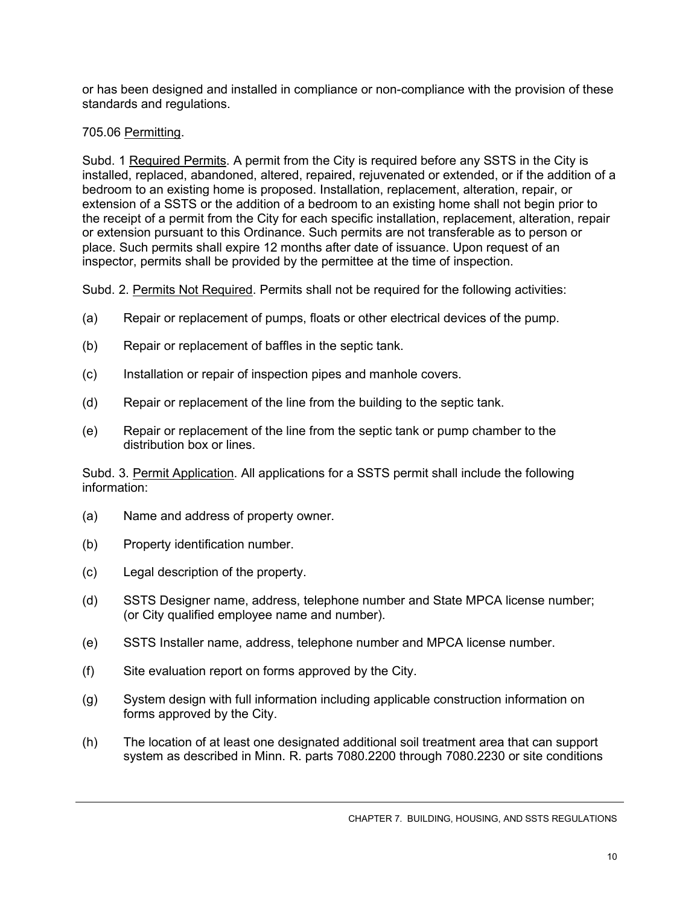or has been designed and installed in compliance or non-compliance with the provision of these standards and regulations.

### 705.06 Permitting.

Subd. 1 Required Permits. A permit from the City is required before any SSTS in the City is installed, replaced, abandoned, altered, repaired, rejuvenated or extended, or if the addition of a bedroom to an existing home is proposed. Installation, replacement, alteration, repair, or extension of a SSTS or the addition of a bedroom to an existing home shall not begin prior to the receipt of a permit from the City for each specific installation, replacement, alteration, repair or extension pursuant to this Ordinance. Such permits are not transferable as to person or place. Such permits shall expire 12 months after date of issuance. Upon request of an inspector, permits shall be provided by the permittee at the time of inspection.

Subd. 2. Permits Not Required. Permits shall not be required for the following activities:

- (a)Repair or replacement of pumps, floats or other electrical devices of the pump.
- (b) Repair or replacement of baffles in the septic tank.
- (c) Installation or repair of inspection pipes and manhole covers.
- (d) Repair or replacement of the line from the building to the septic tank.
- (e) Repair or replacement of the line from the septic tank or pump chamber to the distribution box or lines.

Subd. 3. Permit Application. All applications for a SSTS permit shall include the following information:

- (a) Name and address of property owner.
- (b) Property identification number.
- (c) Legal description of the property.
- (d) SSTS Designer name, address, telephone number and State MPCA license number; (or City qualified employee name and number).
- (e) SSTS Installer name, address, telephone number and MPCA license number.
- (f) Site evaluation report on forms approved by the City.
- (g) System design with full information including applicable construction information on forms approved by the City.
- (h) The location of at least one designated additional soil treatment area that can support system as described in Minn. R. parts 7080.2200 through 7080.2230 or site conditions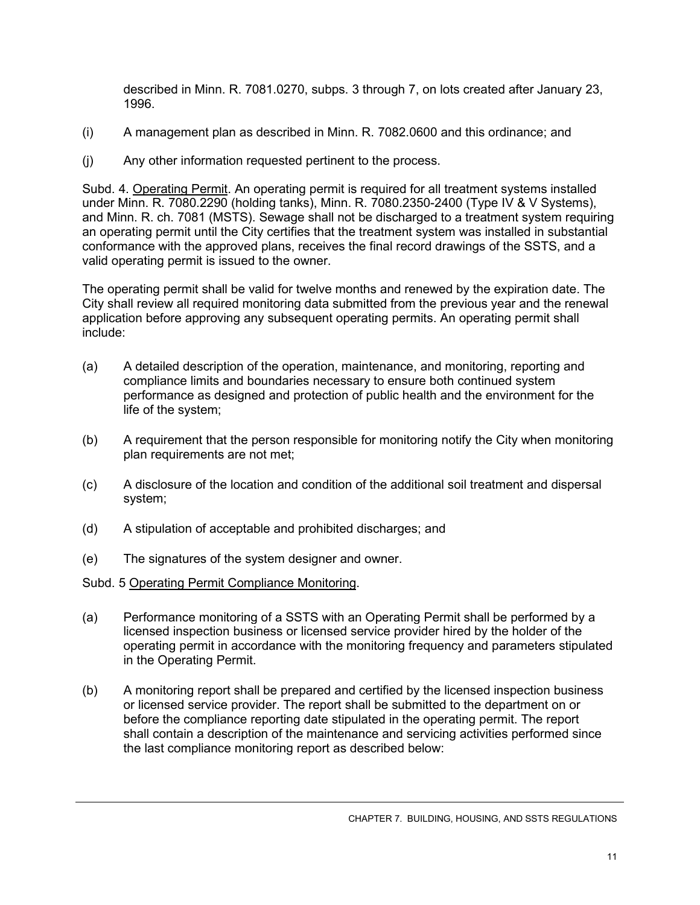described in Minn. R. 7081.0270, subps. 3 through 7, on lots created after January 23, 1996.

- (i) A management plan as described in Minn. R. 7082.0600 and this ordinance; and
- (j) Any other information requested pertinent to the process.

Subd. 4. Operating Permit. An operating permit is required for all treatment systems installed under Minn. R. 7080.2290 (holding tanks), Minn. R. 7080.2350-2400 (Type IV & V Systems), and Minn. R. ch. 7081 (MSTS). Sewage shall not be discharged to a treatment system requiring an operating permit until the City certifies that the treatment system was installed in substantial conformance with the approved plans, receives the final record drawings of the SSTS, and a valid operating permit is issued to the owner.

The operating permit shall be valid for twelve months and renewed by the expiration date. The City shall review all required monitoring data submitted from the previous year and the renewal application before approving any subsequent operating permits. An operating permit shall include:

- (a) A detailed description of the operation, maintenance, and monitoring, reporting and compliance limits and boundaries necessary to ensure both continued system performance as designed and protection of public health and the environment for the life of the system;
- (b) A requirement that the person responsible for monitoring notify the City when monitoring plan requirements are not met;
- (c) A disclosure of the location and condition of the additional soil treatment and dispersal system;
- (d) A stipulation of acceptable and prohibited discharges; and
- (e) The signatures of the system designer and owner.
- Subd. 5 Operating Permit Compliance Monitoring.
- (a) Performance monitoring of a SSTS with an Operating Permit shall be performed by a licensed inspection business or licensed service provider hired by the holder of the operating permit in accordance with the monitoring frequency and parameters stipulated in the Operating Permit.
- (b) A monitoring report shall be prepared and certified by the licensed inspection business or licensed service provider. The report shall be submitted to the department on or before the compliance reporting date stipulated in the operating permit. The report shall contain a description of the maintenance and servicing activities performed since the last compliance monitoring report as described below: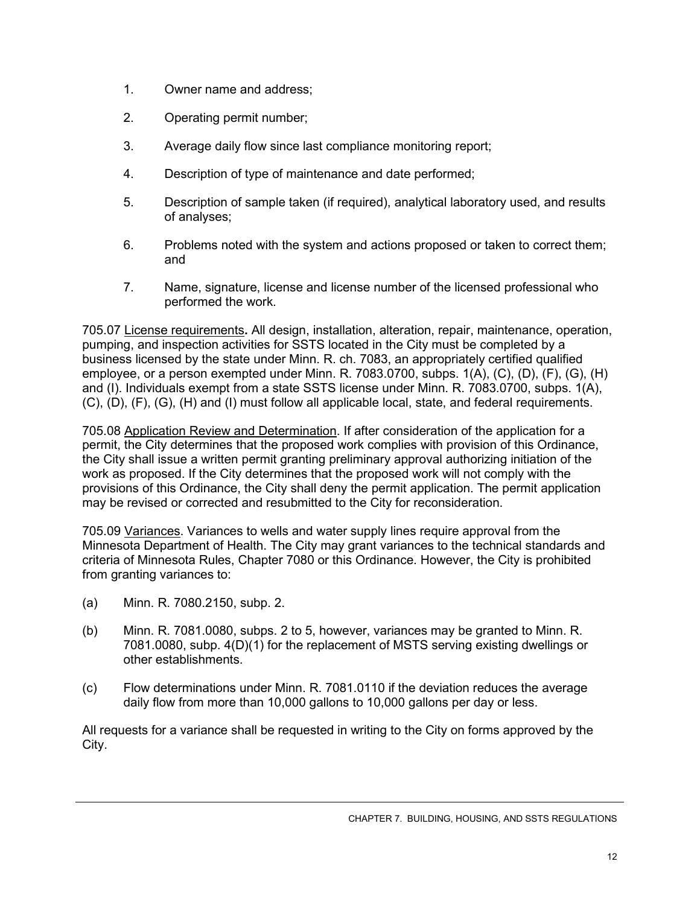- 1. Owner name and address;
- 2. Operating permit number;
- 3. Average daily flow since last compliance monitoring report;
- 4. Description of type of maintenance and date performed;
- 5. Description of sample taken (if required), analytical laboratory used, and results of analyses;
- 6. Problems noted with the system and actions proposed or taken to correct them; and
- 7. Name, signature, license and license number of the licensed professional who performed the work.

705.07 License requirements**.** All design, installation, alteration, repair, maintenance, operation, pumping, and inspection activities for SSTS located in the City must be completed by a business licensed by the state under Minn. R. ch. 7083, an appropriately certified qualified employee, or a person exempted under Minn. R. 7083.0700, subps. 1(A), (C), (D), (F), (G), (H) and (I). Individuals exempt from a state SSTS license under Minn. R. 7083.0700, subps. 1(A), (C), (D), (F), (G), (H) and (I) must follow all applicable local, state, and federal requirements.

705.08 Application Review and Determination. If after consideration of the application for a permit, the City determines that the proposed work complies with provision of this Ordinance, the City shall issue a written permit granting preliminary approval authorizing initiation of the work as proposed. If the City determines that the proposed work will not comply with the provisions of this Ordinance, the City shall deny the permit application. The permit application may be revised or corrected and resubmitted to the City for reconsideration.

705.09 Variances. Variances to wells and water supply lines require approval from the Minnesota Department of Health. The City may grant variances to the technical standards and criteria of Minnesota Rules, Chapter 7080 or this Ordinance. However, the City is prohibited from granting variances to:

- (a) Minn. R. 7080.2150, subp. 2.
- (b) Minn. R. 7081.0080, subps. 2 to 5, however, variances may be granted to Minn. R. 7081.0080, subp. 4(D)(1) for the replacement of MSTS serving existing dwellings or other establishments.
- (c) Flow determinations under Minn. R. 7081.0110 if the deviation reduces the average daily flow from more than 10,000 gallons to 10,000 gallons per day or less.

All requests for a variance shall be requested in writing to the City on forms approved by the City.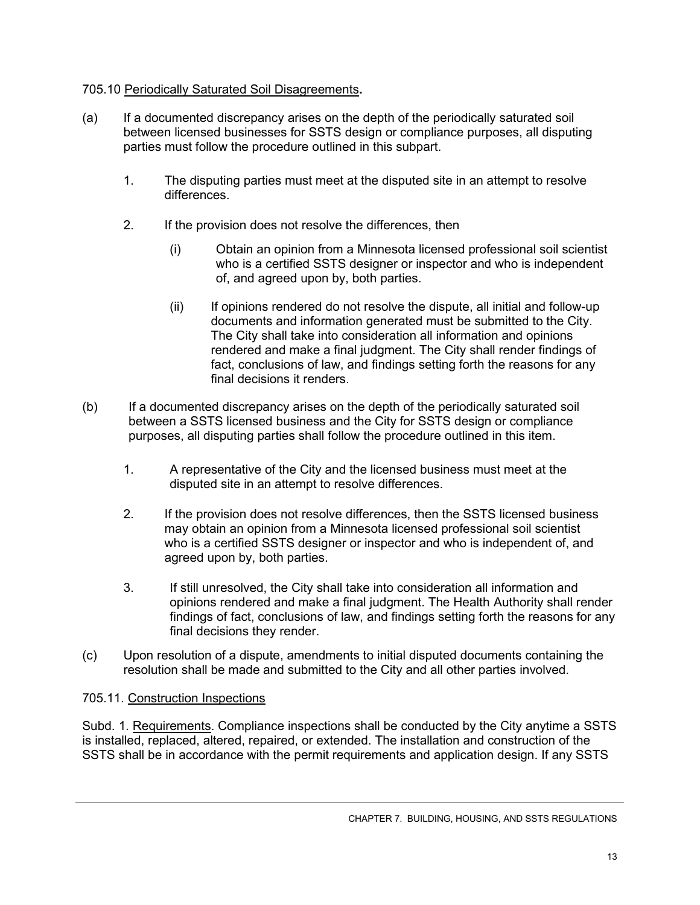### 705.10 Periodically Saturated Soil Disagreements**.**

- (a) If a documented discrepancy arises on the depth of the periodically saturated soil between licensed businesses for SSTS design or compliance purposes, all disputing parties must follow the procedure outlined in this subpart.
	- 1. The disputing parties must meet at the disputed site in an attempt to resolve differences.
	- 2. If the provision does not resolve the differences, then
		- (i) Obtain an opinion from a Minnesota licensed professional soil scientist who is a certified SSTS designer or inspector and who is independent of, and agreed upon by, both parties.
		- (ii) If opinions rendered do not resolve the dispute, all initial and follow-up documents and information generated must be submitted to the City. The City shall take into consideration all information and opinions rendered and make a final judgment. The City shall render findings of fact, conclusions of law, and findings setting forth the reasons for any final decisions it renders.
- (b) If a documented discrepancy arises on the depth of the periodically saturated soil between a SSTS licensed business and the City for SSTS design or compliance purposes, all disputing parties shall follow the procedure outlined in this item.
	- 1. A representative of the City and the licensed business must meet at the disputed site in an attempt to resolve differences.
	- 2. If the provision does not resolve differences, then the SSTS licensed business may obtain an opinion from a Minnesota licensed professional soil scientist who is a certified SSTS designer or inspector and who is independent of, and agreed upon by, both parties.
	- 3. If still unresolved, the City shall take into consideration all information and opinions rendered and make a final judgment. The Health Authority shall render findings of fact, conclusions of law, and findings setting forth the reasons for any final decisions they render.
- (c) Upon resolution of a dispute, amendments to initial disputed documents containing the resolution shall be made and submitted to the City and all other parties involved.

#### 705.11. Construction Inspections

Subd. 1. Requirements. Compliance inspections shall be conducted by the City anytime a SSTS is installed, replaced, altered, repaired, or extended. The installation and construction of the SSTS shall be in accordance with the permit requirements and application design. If any SSTS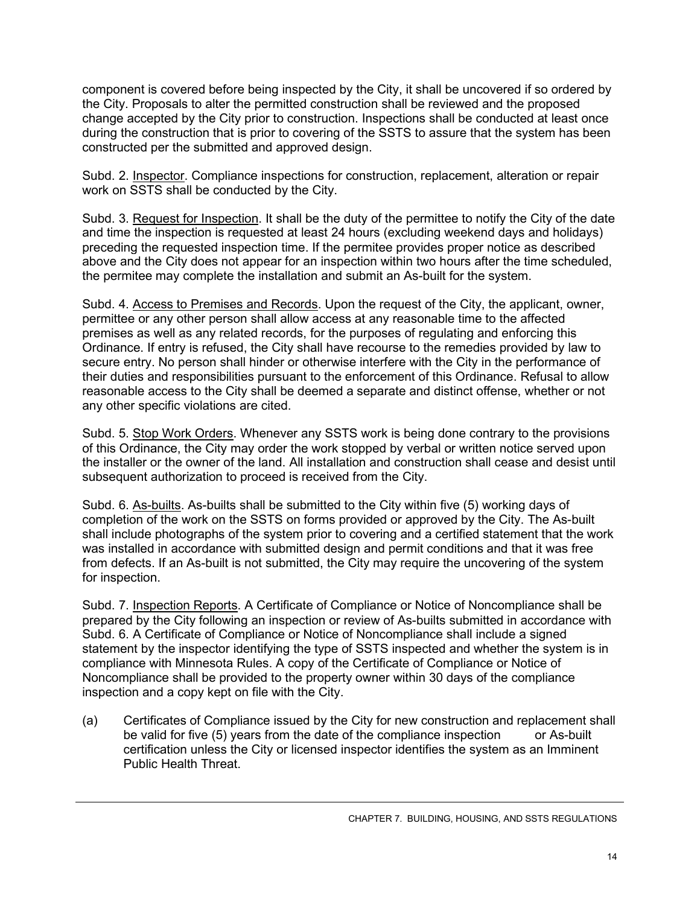component is covered before being inspected by the City, it shall be uncovered if so ordered by the City. Proposals to alter the permitted construction shall be reviewed and the proposed change accepted by the City prior to construction. Inspections shall be conducted at least once during the construction that is prior to covering of the SSTS to assure that the system has been constructed per the submitted and approved design.

Subd. 2. Inspector. Compliance inspections for construction, replacement, alteration or repair work on SSTS shall be conducted by the City.

Subd. 3. Request for Inspection. It shall be the duty of the permittee to notify the City of the date and time the inspection is requested at least 24 hours (excluding weekend days and holidays) preceding the requested inspection time. If the permitee provides proper notice as described above and the City does not appear for an inspection within two hours after the time scheduled, the permitee may complete the installation and submit an As-built for the system.

Subd. 4. Access to Premises and Records. Upon the request of the City, the applicant, owner, permittee or any other person shall allow access at any reasonable time to the affected premises as well as any related records, for the purposes of regulating and enforcing this Ordinance. If entry is refused, the City shall have recourse to the remedies provided by law to secure entry. No person shall hinder or otherwise interfere with the City in the performance of their duties and responsibilities pursuant to the enforcement of this Ordinance. Refusal to allow reasonable access to the City shall be deemed a separate and distinct offense, whether or not any other specific violations are cited.

Subd. 5. Stop Work Orders. Whenever any SSTS work is being done contrary to the provisions of this Ordinance, the City may order the work stopped by verbal or written notice served upon the installer or the owner of the land. All installation and construction shall cease and desist until subsequent authorization to proceed is received from the City.

Subd. 6. As-builts. As-builts shall be submitted to the City within five (5) working days of completion of the work on the SSTS on forms provided or approved by the City. The As-built shall include photographs of the system prior to covering and a certified statement that the work was installed in accordance with submitted design and permit conditions and that it was free from defects. If an As-built is not submitted, the City may require the uncovering of the system for inspection.

Subd. 7. Inspection Reports. A Certificate of Compliance or Notice of Noncompliance shall be prepared by the City following an inspection or review of As-builts submitted in accordance with Subd. 6. A Certificate of Compliance or Notice of Noncompliance shall include a signed statement by the inspector identifying the type of SSTS inspected and whether the system is in compliance with Minnesota Rules. A copy of the Certificate of Compliance or Notice of Noncompliance shall be provided to the property owner within 30 days of the compliance inspection and a copy kept on file with the City.

(a) Certificates of Compliance issued by the City for new construction and replacement shall be valid for five (5) years from the date of the compliance inspection or As-built certification unless the City or licensed inspector identifies the system as an Imminent Public Health Threat.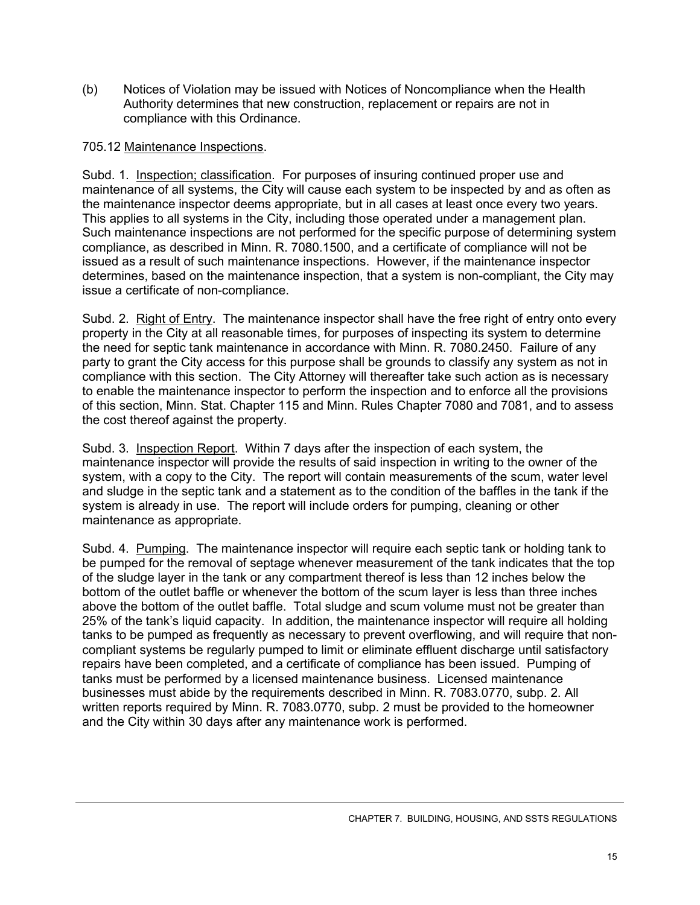(b) Notices of Violation may be issued with Notices of Noncompliance when the Health Authority determines that new construction, replacement or repairs are not in compliance with this Ordinance.

#### 705.12 Maintenance Inspections.

Subd. 1. Inspection; classification. For purposes of insuring continued proper use and maintenance of all systems, the City will cause each system to be inspected by and as often as the maintenance inspector deems appropriate, but in all cases at least once every two years. This applies to all systems in the City, including those operated under a management plan. Such maintenance inspections are not performed for the specific purpose of determining system compliance, as described in Minn. R. 7080.1500, and a certificate of compliance will not be issued as a result of such maintenance inspections. However, if the maintenance inspector determines, based on the maintenance inspection, that a system is non-compliant, the City may issue a certificate of non-compliance.

Subd. 2. Right of Entry. The maintenance inspector shall have the free right of entry onto every property in the City at all reasonable times, for purposes of inspecting its system to determine the need for septic tank maintenance in accordance with Minn. R. 7080.2450. Failure of any party to grant the City access for this purpose shall be grounds to classify any system as not in compliance with this section. The City Attorney will thereafter take such action as is necessary to enable the maintenance inspector to perform the inspection and to enforce all the provisions of this section, Minn. Stat. Chapter 115 and Minn. Rules Chapter 7080 and 7081, and to assess the cost thereof against the property.

Subd. 3. Inspection Report. Within 7 days after the inspection of each system, the maintenance inspector will provide the results of said inspection in writing to the owner of the system, with a copy to the City. The report will contain measurements of the scum, water level and sludge in the septic tank and a statement as to the condition of the baffles in the tank if the system is already in use. The report will include orders for pumping, cleaning or other maintenance as appropriate.

Subd. 4. Pumping. The maintenance inspector will require each septic tank or holding tank to be pumped for the removal of septage whenever measurement of the tank indicates that the top of the sludge layer in the tank or any compartment thereof is less than 12 inches below the bottom of the outlet baffle or whenever the bottom of the scum layer is less than three inches above the bottom of the outlet baffle. Total sludge and scum volume must not be greater than 25% of the tank's liquid capacity. In addition, the maintenance inspector will require all holding tanks to be pumped as frequently as necessary to prevent overflowing, and will require that noncompliant systems be regularly pumped to limit or eliminate effluent discharge until satisfactory repairs have been completed, and a certificate of compliance has been issued. Pumping of tanks must be performed by a licensed maintenance business. Licensed maintenance businesses must abide by the requirements described in Minn. R. 7083.0770, subp. 2. All written reports required by Minn. R. 7083.0770, subp. 2 must be provided to the homeowner and the City within 30 days after any maintenance work is performed.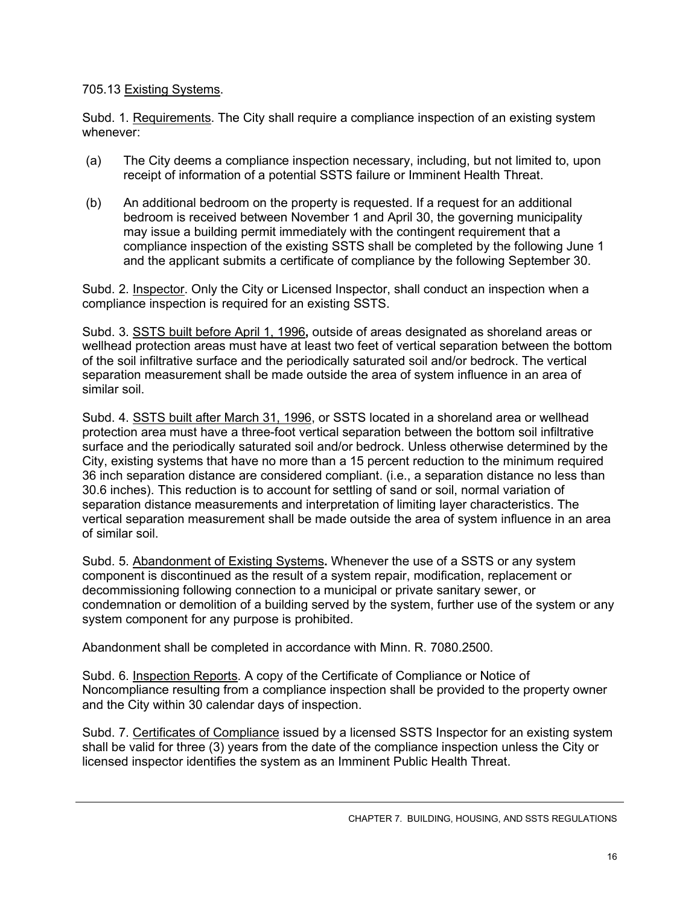### 705.13 Existing Systems.

Subd. 1. Requirements. The City shall require a compliance inspection of an existing system whenever:

- (a) The City deems a compliance inspection necessary, including, but not limited to, upon receipt of information of a potential SSTS failure or Imminent Health Threat.
- (b) An additional bedroom on the property is requested. If a request for an additional bedroom is received between November 1 and April 30, the governing municipality may issue a building permit immediately with the contingent requirement that a compliance inspection of the existing SSTS shall be completed by the following June 1 and the applicant submits a certificate of compliance by the following September 30.

Subd. 2. Inspector. Only the City or Licensed Inspector, shall conduct an inspection when a compliance inspection is required for an existing SSTS.

Subd. 3. SSTS built before April 1, 1996**,** outside of areas designated as shoreland areas or wellhead protection areas must have at least two feet of vertical separation between the bottom of the soil infiltrative surface and the periodically saturated soil and/or bedrock. The vertical separation measurement shall be made outside the area of system influence in an area of similar soil.

Subd. 4. SSTS built after March 31, 1996, or SSTS located in a shoreland area or wellhead protection area must have a three-foot vertical separation between the bottom soil infiltrative surface and the periodically saturated soil and/or bedrock. Unless otherwise determined by the City, existing systems that have no more than a 15 percent reduction to the minimum required 36 inch separation distance are considered compliant. (i.e., a separation distance no less than 30.6 inches). This reduction is to account for settling of sand or soil, normal variation of separation distance measurements and interpretation of limiting layer characteristics. The vertical separation measurement shall be made outside the area of system influence in an area of similar soil.

Subd. 5. Abandonment of Existing Systems**.** Whenever the use of a SSTS or any system component is discontinued as the result of a system repair, modification, replacement or decommissioning following connection to a municipal or private sanitary sewer, or condemnation or demolition of a building served by the system, further use of the system or any system component for any purpose is prohibited.

Abandonment shall be completed in accordance with Minn. R. 7080.2500.

Subd. 6. Inspection Reports. A copy of the Certificate of Compliance or Notice of Noncompliance resulting from a compliance inspection shall be provided to the property owner and the City within 30 calendar days of inspection.

Subd. 7. Certificates of Compliance issued by a licensed SSTS Inspector for an existing system shall be valid for three (3) years from the date of the compliance inspection unless the City or licensed inspector identifies the system as an Imminent Public Health Threat.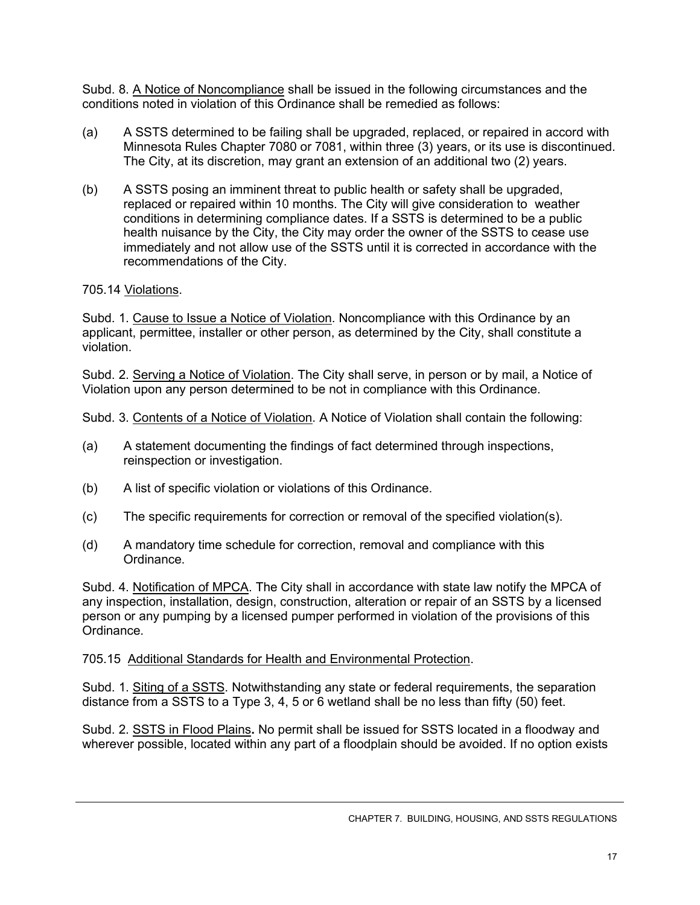Subd. 8. A Notice of Noncompliance shall be issued in the following circumstances and the conditions noted in violation of this Ordinance shall be remedied as follows:

- (a) A SSTS determined to be failing shall be upgraded, replaced, or repaired in accord with Minnesota Rules Chapter 7080 or 7081, within three (3) years, or its use is discontinued. The City, at its discretion, may grant an extension of an additional two (2) years.
- (b) A SSTS posing an imminent threat to public health or safety shall be upgraded, replaced or repaired within 10 months. The City will give consideration to weather conditions in determining compliance dates. If a SSTS is determined to be a public health nuisance by the City, the City may order the owner of the SSTS to cease use immediately and not allow use of the SSTS until it is corrected in accordance with the recommendations of the City.

## 705.14 Violations.

Subd. 1. Cause to Issue a Notice of Violation. Noncompliance with this Ordinance by an applicant, permittee, installer or other person, as determined by the City, shall constitute a violation.

Subd. 2. Serving a Notice of Violation. The City shall serve, in person or by mail, a Notice of Violation upon any person determined to be not in compliance with this Ordinance.

Subd. 3. Contents of a Notice of Violation. A Notice of Violation shall contain the following:

- (a) A statement documenting the findings of fact determined through inspections, reinspection or investigation.
- (b) A list of specific violation or violations of this Ordinance.
- (c) The specific requirements for correction or removal of the specified violation(s).
- (d) A mandatory time schedule for correction, removal and compliance with this Ordinance.

Subd. 4. Notification of MPCA. The City shall in accordance with state law notify the MPCA of any inspection, installation, design, construction, alteration or repair of an SSTS by a licensed person or any pumping by a licensed pumper performed in violation of the provisions of this Ordinance.

## 705.15 Additional Standards for Health and Environmental Protection.

Subd. 1. Siting of a SSTS. Notwithstanding any state or federal requirements, the separation distance from a SSTS to a Type 3, 4, 5 or 6 wetland shall be no less than fifty (50) feet.

Subd. 2. SSTS in Flood Plains**.** No permit shall be issued for SSTS located in a floodway and wherever possible, located within any part of a floodplain should be avoided. If no option exists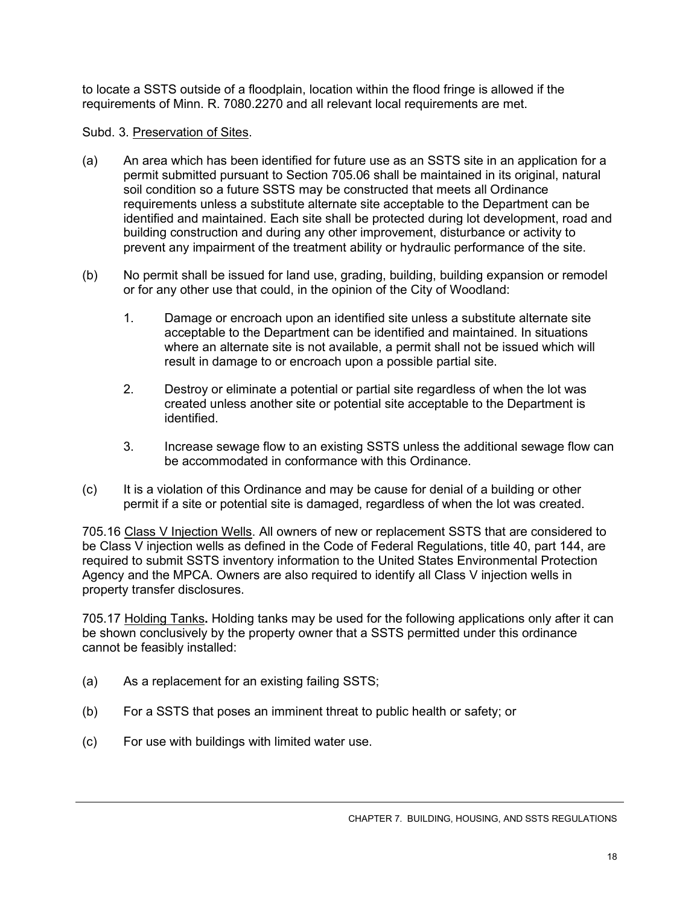to locate a SSTS outside of a floodplain, location within the flood fringe is allowed if the requirements of Minn. R. 7080.2270 and all relevant local requirements are met.

### Subd. 3. Preservation of Sites.

- (a) An area which has been identified for future use as an SSTS site in an application for a permit submitted pursuant to Section 705.06 shall be maintained in its original, natural soil condition so a future SSTS may be constructed that meets all Ordinance requirements unless a substitute alternate site acceptable to the Department can be identified and maintained. Each site shall be protected during lot development, road and building construction and during any other improvement, disturbance or activity to prevent any impairment of the treatment ability or hydraulic performance of the site.
- (b) No permit shall be issued for land use, grading, building, building expansion or remodel or for any other use that could, in the opinion of the City of Woodland:
	- 1. Damage or encroach upon an identified site unless a substitute alternate site acceptable to the Department can be identified and maintained. In situations where an alternate site is not available, a permit shall not be issued which will result in damage to or encroach upon a possible partial site.
	- 2. Destroy or eliminate a potential or partial site regardless of when the lot was created unless another site or potential site acceptable to the Department is identified.
	- 3. Increase sewage flow to an existing SSTS unless the additional sewage flow can be accommodated in conformance with this Ordinance.
- (c) It is a violation of this Ordinance and may be cause for denial of a building or other permit if a site or potential site is damaged, regardless of when the lot was created.

705.16 Class V Injection Wells. All owners of new or replacement SSTS that are considered to be Class V injection wells as defined in the Code of Federal Regulations, title 40, part 144, are required to submit SSTS inventory information to the United States Environmental Protection Agency and the MPCA. Owners are also required to identify all Class V injection wells in property transfer disclosures.

705.17 Holding Tanks**.** Holding tanks may be used for the following applications only after it can be shown conclusively by the property owner that a SSTS permitted under this ordinance cannot be feasibly installed:

- (a) As a replacement for an existing failing SSTS;
- (b) For a SSTS that poses an imminent threat to public health or safety; or
- (c) For use with buildings with limited water use.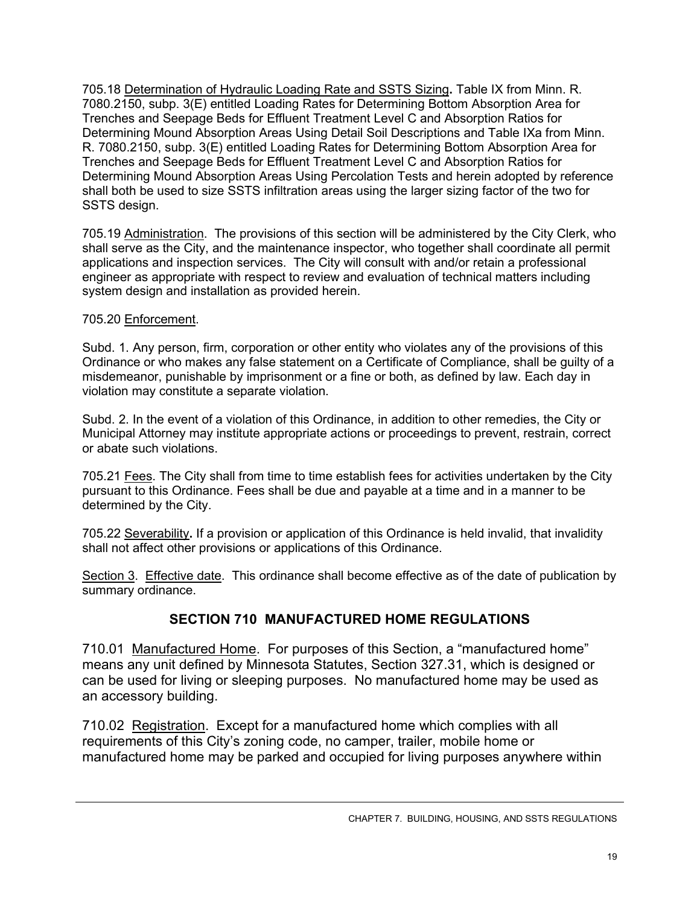705.18 Determination of Hydraulic Loading Rate and SSTS Sizing**.** Table IX from Minn. R. 7080.2150, subp. 3(E) entitled Loading Rates for Determining Bottom Absorption Area for Trenches and Seepage Beds for Effluent Treatment Level C and Absorption Ratios for Determining Mound Absorption Areas Using Detail Soil Descriptions and Table IXa from Minn. R. 7080.2150, subp. 3(E) entitled Loading Rates for Determining Bottom Absorption Area for Trenches and Seepage Beds for Effluent Treatment Level C and Absorption Ratios for Determining Mound Absorption Areas Using Percolation Tests and herein adopted by reference shall both be used to size SSTS infiltration areas using the larger sizing factor of the two for SSTS design.

705.19 Administration. The provisions of this section will be administered by the City Clerk, who shall serve as the City, and the maintenance inspector, who together shall coordinate all permit applications and inspection services. The City will consult with and/or retain a professional engineer as appropriate with respect to review and evaluation of technical matters including system design and installation as provided herein.

### 705.20 Enforcement.

Subd. 1. Any person, firm, corporation or other entity who violates any of the provisions of this Ordinance or who makes any false statement on a Certificate of Compliance, shall be guilty of a misdemeanor, punishable by imprisonment or a fine or both, as defined by law. Each day in violation may constitute a separate violation.

Subd. 2. In the event of a violation of this Ordinance, in addition to other remedies, the City or Municipal Attorney may institute appropriate actions or proceedings to prevent, restrain, correct or abate such violations.

705.21 Fees. The City shall from time to time establish fees for activities undertaken by the City pursuant to this Ordinance. Fees shall be due and payable at a time and in a manner to be determined by the City.

705.22 Severability**.** If a provision or application of this Ordinance is held invalid, that invalidity shall not affect other provisions or applications of this Ordinance.

Section 3. Effective date. This ordinance shall become effective as of the date of publication by summary ordinance.

## **SECTION 710 MANUFACTURED HOME REGULATIONS**

710.01 Manufactured Home. For purposes of this Section, a "manufactured home" means any unit defined by Minnesota Statutes, Section 327.31, which is designed or can be used for living or sleeping purposes. No manufactured home may be used as an accessory building.

710.02 Registration. Except for a manufactured home which complies with all requirements of this City's zoning code, no camper, trailer, mobile home or manufactured home may be parked and occupied for living purposes anywhere within